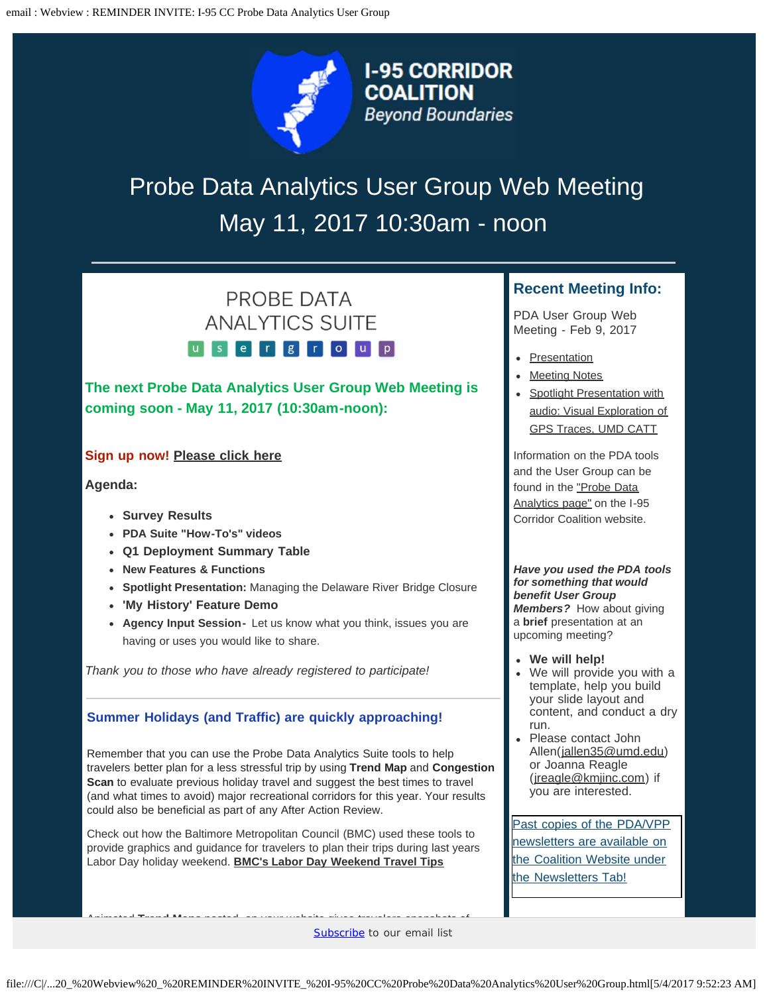

# Probe Data Analytics User Group Web Meeting May 11, 2017 10:30am - noon



# **The next Probe Data Analytics User Group Web Meeting is coming soon - May 11, 2017 (10:30am-noon):**

### **Sign up now! [Please click here](https://www.surveymonkey.com/r/QFSXJPL)**

**Agenda:**

- **Survey Results**
- **PDA Suite "How-To's" videos**
- **Q1 Deployment Summary Table**
- **New Features & Functions**
- **Spotlight Presentation:** Managing the Delaware River Bridge Closure
- **'My History' Feature Demo**
- **Agency Input Session-** Let us know what you think, issues you are having or uses you would like to share.

*Thank you to those who have already registered to participate!*

## **Summer Holidays (and Traffic) are quickly approaching!**

Remember that you can use the Probe Data Analytics Suite tools to help travelers better plan for a less stressful trip by using **Trend Map** and **Congestion Scan** to evaluate previous holiday travel and suggest the best times to travel (and what times to avoid) major recreational corridors for this year. Your results could also be beneficial as part of any After Action Review.

Check out how the Baltimore Metropolitan Council (BMC) used these tools to provide graphics and guidance for travelers to plan their trips during last years Labor Day holiday weekend. **[BMC's Labor Day Weekend Travel Tips](http://i95coalition.org/forum/viewtopic.php?f=5&t=261&sid=500bb24ccbd109676ca3037bf8a5f169)**

Animated **Trend Maps** posted on your website gives travelers snapshots of

#### regional congestion, and allows them to zoom to zoom to the subscribe to our email list

## **Recent Meeting Info:**

PDA User Group Web Meeting - Feb 9, 2017

- **[Presentation](http://i95coalition.org/wp-content/uploads/2015/02/02-09-17-PDA-User-Group-Mtg-final.pdf?fe2c99)**
- [Meeting Notes](http://i95coalition.org/wp-content/uploads/2015/02/09feb17_PDA_User_Group_Webmtg-final.pdf?fe2c99)
- [Spotlight Presentation with](https://vimeo.com/204254492) [audio: Visual Exploration of](https://vimeo.com/204254492) [GPS Traces, UMD CATT](https://vimeo.com/204254492)

Information on the PDA tools and the User Group can be found in the ["Probe Data](http://i95coalition.org/projects/probe-data-analytics/) [Analytics page"](http://i95coalition.org/projects/probe-data-analytics/) on the I-95 Corridor Coalition website.

*Have you used the PDA tools for something that would benefit User Group Members?* How about giving a **brief** presentation at an upcoming meeting?

- **We will help!**
- We will provide you with a template, help you build your slide layout and content, and conduct a dry run.
- Please contact John Allen([jallen35@umd.edu](mailto:jallen35@umd.edu)) or Joanna Reagle ([jreagle@kmjinc.com\)](mailto:jreagle@kmjinc.com) if you are interested.

[Past copies of the PDA/VPP](http://i95coalition.org/projects/probe-data-analytics/) [newsletters are available on](http://i95coalition.org/projects/probe-data-analytics/) [the Coalition Website](http://i95coalition.org/projects/probe-data-analytics/) under [the Newsletters Tab!](http://i95coalition.org/projects/probe-data-analytics/)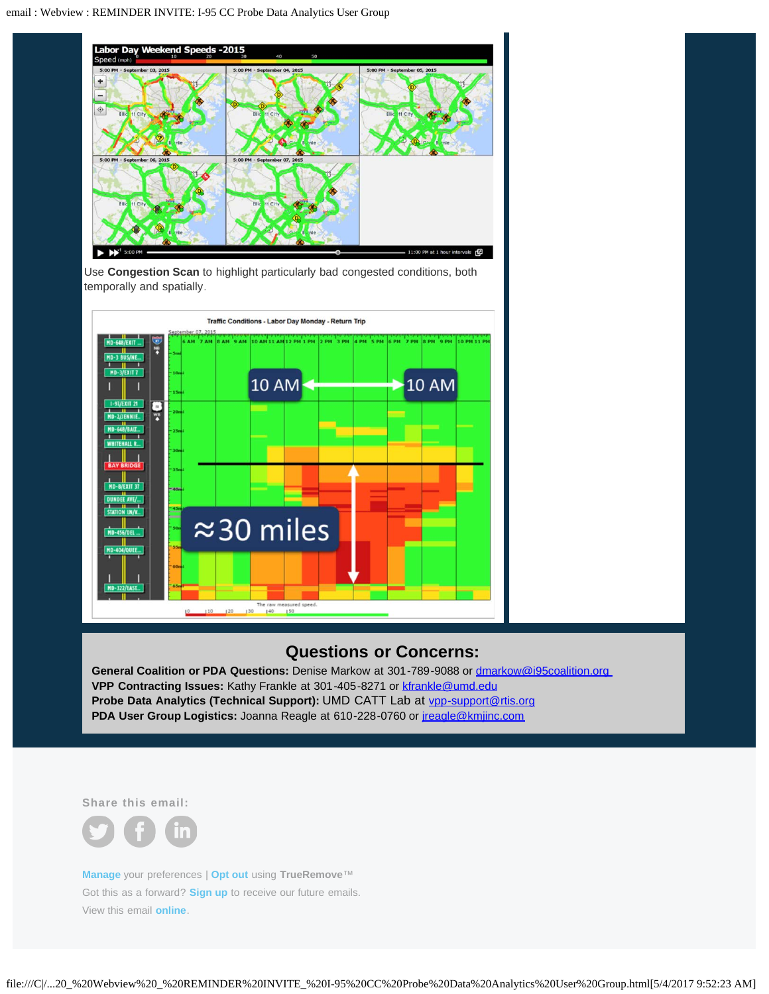

Use **Congestion Scan** to highlight particularly bad congested conditions, both temporally and spatially.



## **Questions or Concerns:**

General Coalition or PDA Questions: Denise Markow at 301-789-9088 or [dmarkow@i95coalition.org](mailto:dmarkow@i95coalition.org?subject=) **VPP Contracting Issues:** Kathy Frankle at 301-405-8271 or [kfrankle@umd.edu](mailto:kfrankle@umd.edu?subject=) Probe Data Analytics (Technical Support): UMD CATT Lab at [vpp-support@rtis.org](mailto:vpp-support@rtis.org?subject=) **PDA User Group Logistics:** Joanna Reagle at 610-228-0760 or [jreagle@kmjinc.com](mailto:jreagle@kmjinc.com)

**Share this email:**



**[Manage](https://app.e2ma.net/app2/audience/signup/39871/23651//)** your preferences | **[Opt out](https://t.e2ma.net/webview/9mjqn/2e7103d4808674f69d8d841bd72ddde2#)** using **TrueRemove**™ Got this as a forward? **[Sign up](https://app.e2ma.net/app2/audience/signup/39871/23651.22593635/)** to receive our future emails. View this email **[online](https://t.e2ma.net/webview/9mjqn/2e7103d4808674f69d8d841bd72ddde2#)**.